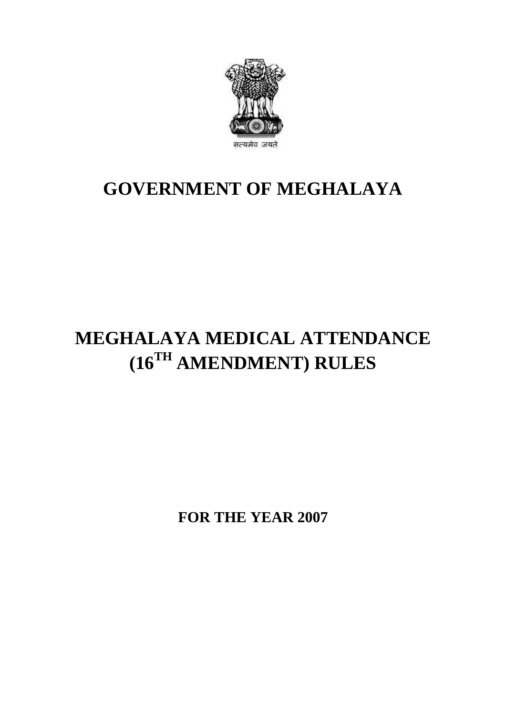

## **GOVERNMENT OF MEGHALAYA**

## **MEGHALAYA MEDICAL ATTENDANCE (16TH AMENDMENT) RULES**

**FOR THE YEAR 2007**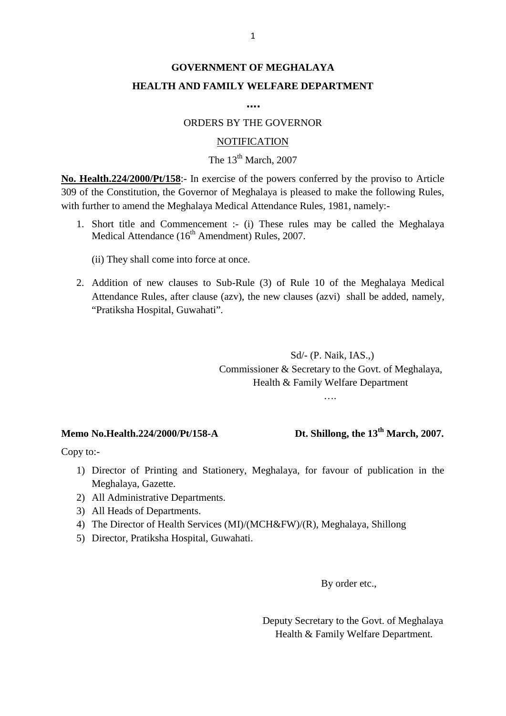## **GOVERNMENT OF MEGHALAYA HEALTH AND FAMILY WELFARE DEPARTMENT**

**….**

#### ORDERS BY THE GOVERNOR

#### NOTIFICATION

## The  $13<sup>th</sup>$  March, 2007

**NOTIFICATION**<br> **NOTIFICATION**<br> **No. Health.224/2000/Pt/158**:- In exercise of the powers conferred by the proviso to Article<br>
309 of the Constitution, the Governor of Meghalaya is pleased to make the following Rules, 309 of the Constitution, the Governor of Meghalaya is pleased to make the following Rules, with further to amend the Meghalaya Medical Attendance Rules, 1981, namely:- **1. Short title and Commencement :-** (i) These rules may be called the Meghalaya Medical Attendance Rules, 1981, namely:-<br>1. Short title and Commencement :- (i) These rules may be called the Meghalaya Medical Attendance ( **alth.224/2000/Pt/158**:- In exercise of the powers confer<br>the Constitution, the Governor of Meghalaya is pleased<br>tther to amend the Meghalaya Medical Attendance Rules.<br>Short title and Commencement :- (i) These rules ma<br>Me

- - (ii) They shall come into force at once.
- 2. Addition of new clauses to Sub-Rule (3) of Rule 10 of the Meghalaya Medical Attendance (16<sup>th</sup> Amendment) Rules, 2007.<br>
2. Addition of new clauses to Sub-Rule (3) of Rule 10 of the Meghalaya Medical Attendance Rules, a Medical Attendance (16" Amendment) Rules, 2007.<br>
(ii) They shall come into force at once.<br>
Addition of new clauses to Sub-Rule (3) of Rule 10 of the Meghalaya Medical<br>
Attendance Rules, after clause (azv), the new clauses (ii) They shall come into force at one<br>Addition of new clauses to Sub-R<br>Attendance Rules, after clause (azv)<br>"Pratiksha Hospital, Guwahati".

(azv), the new clauses (azvi) shall be added, namely,<br>
.<br>
Sd/- (P. Naik, IAS.,)<br>
Commissioner & Secretary to the Govt. of Meghalaya, Health & Family Welfare Department

….

#### **Memo No.Health.224/2000/Pt/158-A Dt. Shillong, the 13th March, 2007.**

Copy to:-

- 1) **mo No.Health.224/2000/Pt/158-A Dt. Shillong, the 13<sup>th</sup> March, 2007.**<br>
1) Director of Printing and Stationery, Meghalaya, for favour of publication in the Meghalaya, Gazette. No.Health.224/2000/Pt/1<br>
1:-<br>
Director of Printing and<br>
Meghalaya, Gazette.<br>
All Administrative Depar 2000/1 0130-A<br>2000/1 0130-A<br>2) Director of Printing and Stationery<br>2) All Administrative Departments.<br>3) All Heads of Departments. by to:-<br>
1) Director of Printing and Stat:<br>
Meghalaya, Gazette.<br>
2) All Administrative Department<br>
3) All Heads of Departments.<br>
4) The Director of Health Services 4) Director of Printing and Stationery, Meghalaya, for favour of publication in the<br>Meghalaya, Gazette.<br>2) All Administrative Departments.<br>3) All Heads of Departments.<br>4) The Director of Health Services (MI)/(MCH&FW)/(R),
- 
- 
- Meghalaya, Gazette.<br>
2) All Administrative Departments.<br>
3) All Heads of Departments.<br>
4) The Director of Health Services (MI)/(MCH&FW)/(R), Meghalaya, Shillong<br>
5) Director, Pratiksha Hospital, Guwahati.
- 

By order etc.,

Deputy Secretary to the Govt. of Meghalaya By order etc.,<br>puty Secretary to the Govt. of Meghala<br>Health & Family Welfare Department.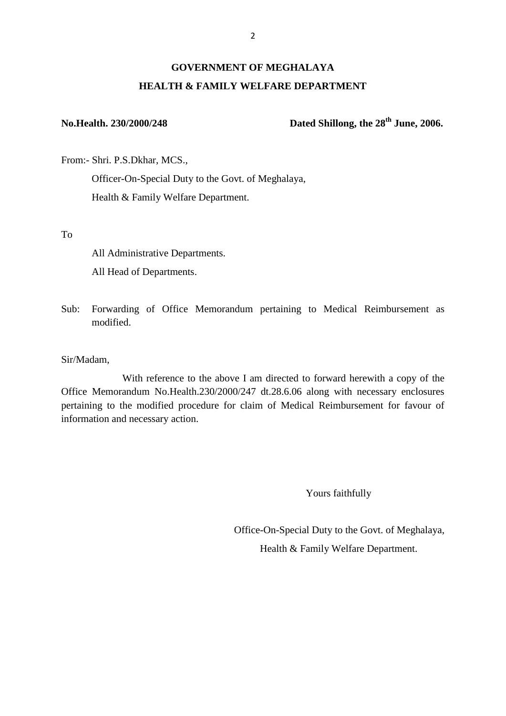### **GOVERNMENT OF MEGHALAYA HEALTH & FAMILY WELFARE DEPARTMENT**

**No.Health. 230/2000/248 Dated Shillong, the 28th June, 2006.**

No.Health. 230/2000/248<br>From:- Shri. P.S.Dkhar, MCS.,<br>Officer-On-Special Duty to

From:- Shri. P.S.Dkhar, MCS.,<br>Officer-On-Special Duty to the Govt. of Meghalaya,

To

Health & Family Welfare Department. All Administrative Departments. All Head of Departments. All Administrative Departments.<br>
All Head of Departments.<br>
Sub: Forwarding of Office Memorandum pertaining to Medical Reimbursement as

modified.

Sir/Madam,

With reference to the above I am directed to forward herewith a copy of the Office Memorandum No.Health.230/2000/247 dt.28.6.06 along with necessary enclosures Sir/Madam,<br>
With reference to the above I am directed to forward herewith a copy of the<br>
Office Memorandum No.Health.230/2000/247 dt.28.6.06 along with necessary enclosures<br>
pertaining to the modified procedure for claim o information and necessary action.

**Yours faithfully** 

Office-On-Special Duty to the Govt. of Meghalaya, Health & Family Welfare Department.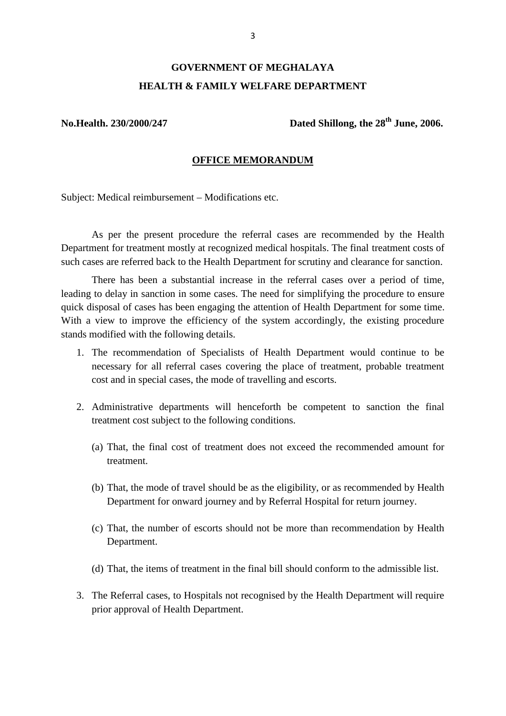# **GOVERNMENT OF MEGHALAYA HEALTH & FAMILY WELFARE DEPARTMENT** GOVERNMENT OF MEGHALAYA<br>HEALTH & FAMILY WELFARE DEPARTMENT<br>No.Health. 230/2000/247 Dated Shillong, the 28<sup>th</sup> June, 2006.

#### **OFFICE MEMORANDUM**

Subject: Medical reimbursement – Modifications etc.

As per the present procedure the referral cases are recommended by the Health Department for treatment mostly at recognized medical hospitals. The final treatment costs of such cases are referred back to the Health Department for scrutiny and clearance for sanction.

There has been a substantial increase in the referral cases over a period of time, As per the present procedure the referral cases are recommended by the Health<br>Department for treatment mostly at recognized medical hospitals. The final treatment costs of<br>such cases are referred back to the Health Departm Department for treatment mostly at recognized medical hospitals. The final treatment costs of such cases are referred back to the Health Department for scrutiny and clearance for sanction.<br>There has been a substantial incr With a view to improve the efficiency of the system accordingly, the existing procedure stands modified with the following details. ling to delay in sanction in some cases. The need for simplifying the procedure to ensure<br>ck disposal of cases has been engaging the attention of Health Department for some time.<br>h a view to improve the efficiency of the s

- necessary for all referral cases covering the place of treatment, probable treatment cost and in special cases, the mode of travelling and escorts. 2. The recommendation of Specialists of Health Department would continue to be necessary for all referral cases covering the place of treatment, probable treatment cost and in special cases, the mode of travelling and esco
- treatment cost subject to the following conditions. (a) That, the final cost of treatment does not exceed the recommended amount for treatment.
	- treatment. (a) That, the final cost of treatment does not exceed the recommended amount for treatment.<br>
	(b) That, the mode of travel should be as the eligibility, or as recommended by Health
	- Department for onward journey and by Referral Hospital for return journey. (b) That, the mode of travel should be as the eligibility, or as recommended by Health Department for onward journey and by Referral Hospital for return journey.<br>(c) That, the number of escorts should not be more than reco
	- Department. (c) That, the number of escorts should not be more than recommendation by Health Department.<br>(d) That, the items of treatment in the final bill should conform to the admissible list.
- 3. The Referral cases, to Hospitals not recognised by the Health Department will require
- prior approval of Health Department.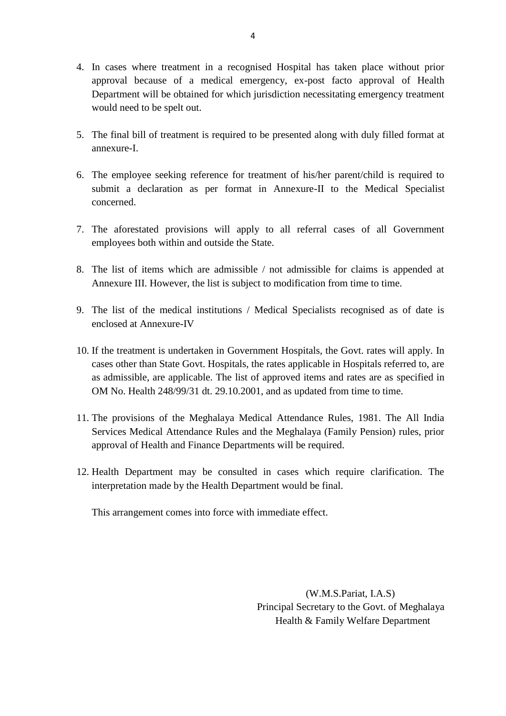- 4. In cases where treatment in a recognised Hospital has taken place without prior approval because of a medical emergency, ex-post facto approval of Health Department will be obtained for which jurisdiction necessitating emergency treatment In cases where treatment in approval because of a medi<br>Department will be obtained fo<br>would need to be spelt out. 5. The final bill of treatment is required to be presented along with duly filled format at annexure-I.
- annexure-I.
- 5. The final bill of treatment is required to be presented along with duly filled format at<br>annexure-I.<br>6. The employee seeking reference for treatment of his/her parent/child is required to<br>submit a declaration as per for 6. The employee seeking reference for treatment of his/her parent/child is required to submit a declaration as per format in Annexure-II to the Medical Specialist concerned. The employee seeking reference for treatment of his/her parent/child is required to submit a declaration as per format in Annexure-II to the Medical Specialist concerned.<br>
T. The aforestated provisions will apply to all re
- employees both within and outside the State. 8. The aforestated provisions will apply to all referral cases of all Government<br>employees both within and outside the State.<br>8. The list of items which are admissible / not admissible for claims is appended at<br>Annexure II
- Annexure III. However, the list is subject to modification from time to time. 9. The list of items which are admissible / not admissible for claims is appended at Annexure III. However, the list is subject to modification from time to time.<br>9. The list of the medical institutions / Medical Specialis
- enclosed at Annexure-IV
- 10. If the treatment is undertaken in Government Hospitals, the Govt. rates will apply. In cases other than State Govt. Hospitals, the rates applicable in Hospitals referred to, are cases other than State Govt. Hospitals, the rates applicable in Hospitals referred to, are enclosed at Annexure-IV<br>If the treatment is undertaken in Government Hospitals, the Govt. rates will apply. In<br>cases other than State Govt. Hospitals, the rates applicable in Hospitals referred to, are<br>as admissible, are a If the treatment is undertaken in Government Hospitals, the Govt. rates will app cases other than State Govt. Hospitals, the rates applicable in Hospitals referred t as admissible, are applicable. The list of approved item cases other than State Govt. Hospitals, the rates applicable in Hospitals referred to, are<br>as admissible, are applicable. The list of approved items and rates are as specified in<br>OM No. Health 248/99/31 dt. 29.10.2001, and
- Services Medical Attendance Rules and the Meghalaya (Family Pension) rules, prior approval of Health and Finance Departments will be required. 11. The provisions of the Meghalaya Medical Attendance Rules, 1981. The All India<br>Services Medical Attendance Rules and the Meghalaya (Family Pension) rules, prior<br>approval of Health and Finance Departments will be require
- interpretation made by the Health Department would be final.

This arrangement comes into force with immediate effect.

(W.M.S.Pariat, I.A.S) Principal Secretary to the Govt. of Meghalaya Health & Family Welfare Department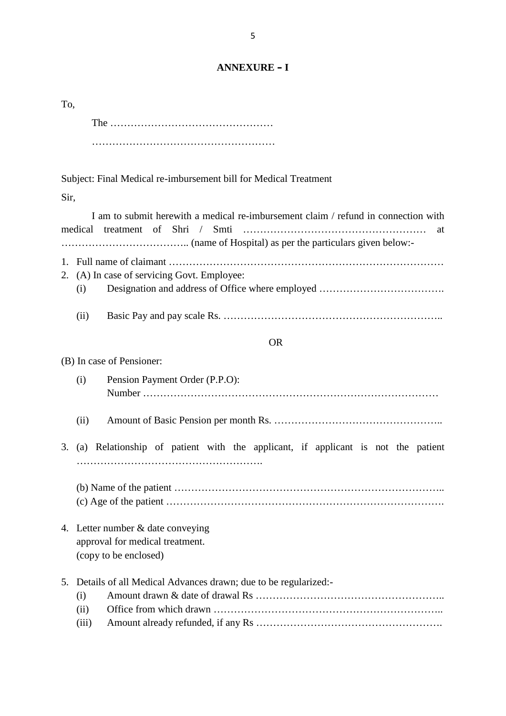#### **ANNEXURE – I**

|      | Subject: Final Medical re-imbursement bill for Medical Treatment                                                                   |  |  |  |  |  |  |  |  |  |  |
|------|------------------------------------------------------------------------------------------------------------------------------------|--|--|--|--|--|--|--|--|--|--|
| Sir, |                                                                                                                                    |  |  |  |  |  |  |  |  |  |  |
|      | I am to submit herewith a medical re-imbursement claim / refund in connection with<br>treatment of Shri /<br>Smti<br>medical<br>at |  |  |  |  |  |  |  |  |  |  |
|      |                                                                                                                                    |  |  |  |  |  |  |  |  |  |  |
|      | 2. (A) In case of servicing Govt. Employee:                                                                                        |  |  |  |  |  |  |  |  |  |  |
|      | (i)                                                                                                                                |  |  |  |  |  |  |  |  |  |  |
|      | (ii)                                                                                                                               |  |  |  |  |  |  |  |  |  |  |
|      | <b>OR</b>                                                                                                                          |  |  |  |  |  |  |  |  |  |  |
|      | (B) In case of Pensioner:                                                                                                          |  |  |  |  |  |  |  |  |  |  |
|      | Pension Payment Order (P.P.O):<br>(i)                                                                                              |  |  |  |  |  |  |  |  |  |  |
|      | (ii)                                                                                                                               |  |  |  |  |  |  |  |  |  |  |
| 3.   | (a) Relationship of patient with the applicant, if applicant is not the patient                                                    |  |  |  |  |  |  |  |  |  |  |
|      |                                                                                                                                    |  |  |  |  |  |  |  |  |  |  |
|      | 4. Letter number & date conveying<br>approval for medical treatment.                                                               |  |  |  |  |  |  |  |  |  |  |
|      | (copy to be enclosed)                                                                                                              |  |  |  |  |  |  |  |  |  |  |
| 5.   | Details of all Medical Advances drawn; due to be regularized:-                                                                     |  |  |  |  |  |  |  |  |  |  |
|      | (i)                                                                                                                                |  |  |  |  |  |  |  |  |  |  |
|      | (ii)                                                                                                                               |  |  |  |  |  |  |  |  |  |  |
|      | (iii)                                                                                                                              |  |  |  |  |  |  |  |  |  |  |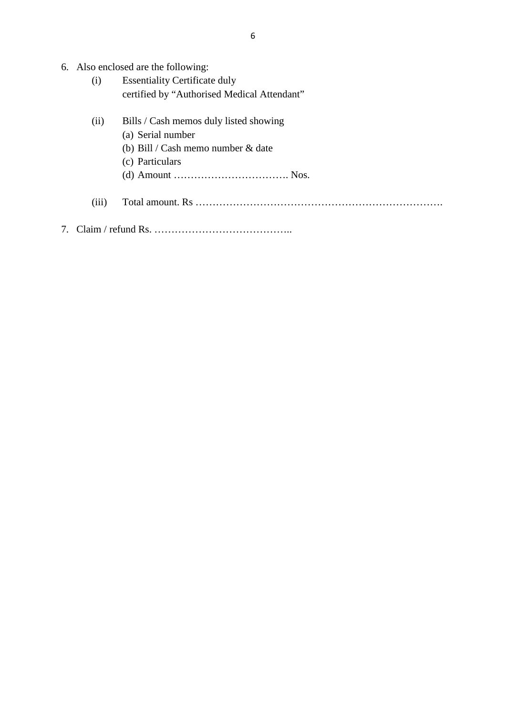- 6. Also enclosed are the following:<br>(i) Essentiality Certificate duly
- 6<br>
o enclosed are the following:<br>
(i) Essentiality Certificate duly<br>
certified by "Authorised Medical Attendant"
- (i) Essentiality Certificate duly<br>
certified by "Authorised Medical Attendant"<br>
(ii) Bills / Cash memos duly listed showing<br>
(a) Serial number Essentiality Certificate<br>certified by "Authorised<br>Bills / Cash memos duly<br>(a) Serial number<br>(b) Bill / Cash memo nu certified by "Authorised Medical Attendant"<br>Bills / Cash memos duly listed showing<br>(a) Serial number<br>(b) Bill / Cash memo number & date<br>(c) Particulars Bills / Cash memos d<br>
(a) Serial number<br>
(b) Bill / Cash memo<br>
(c) Particulars<br>
(d) Amount ..........
	- (d) Amount ……………………………. Nos.
	- (iii) Total amount. Rs ……………………………………………………………….
- 7. Claim / refund Rs. …………………………………..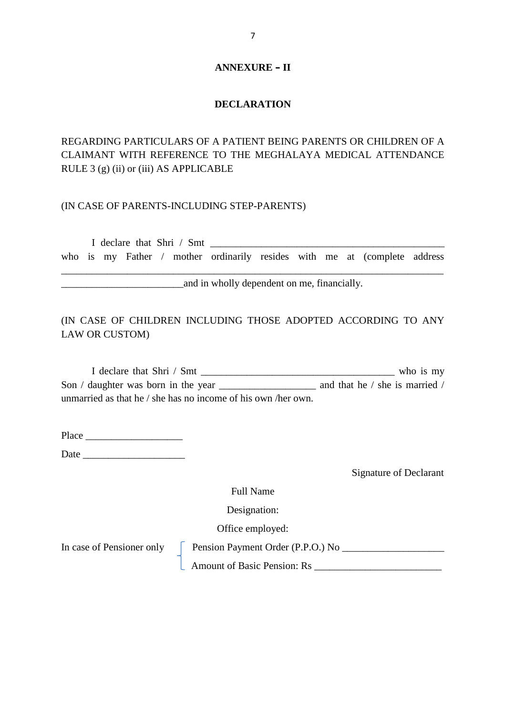#### **ANNEXURE – II**

#### **DECLARATION**

#### REGARDING PARTICULARS OF A PATIENT BEING PARENTS OR CHILDREN OF A CLAIMANT WITH REFERENCE TO THE MEGHALAYA MEDICAL ATTENDANCE RULE 3 (g) (ii) or (iii) AS APPLICABLE

#### (IN CASE OF PARENTS-INCLUDING STEP-PARENTS)

I declare that Shri / Smt <br>I declare that Shri / Smt <br>who is my Father / mother ordinarily resides with me at (complete address \_\_\_\_\_\_\_\_\_\_\_\_\_\_\_\_\_\_\_\_\_\_\_\_\_\_\_\_\_\_\_\_\_\_\_\_\_\_\_\_\_\_\_\_\_\_\_\_\_\_\_\_\_\_\_\_\_\_\_\_\_\_\_\_\_\_\_\_\_\_\_\_\_\_\_

**EXECUTE:** and in wholly dependent on me, financially.

#### (IN CASE OF CHILDREN INCLUDING THOSE ADOPTED ACCORDING TO ANY LAW OR CUSTOM)

| THE CAND OF CHILDING. INCLUDING THONG ADOITED ACCORDING TO ANTI |                                |  |
|-----------------------------------------------------------------|--------------------------------|--|
| <b>LAW OR CUSTOM)</b>                                           |                                |  |
|                                                                 |                                |  |
| I declare that Shri / Smt                                       | who is my                      |  |
| Son / daughter was born in the year                             | and that he / she is married / |  |
| unmarried as that he / she has no income of his own /her own.   |                                |  |
|                                                                 |                                |  |

Place  $\Box$ 

Date  $\Box$ 

Signature of Declarant

Full Name<br>Designation:

Designation:

Office employed:

In case of Pensioner only  $\Box$  Pension Payment Order (P.P.O.) No  $\Box$ 

Amount of Basic Pension: Rs \_\_\_\_\_\_\_\_\_\_\_\_\_\_\_\_\_\_\_\_\_\_\_\_\_